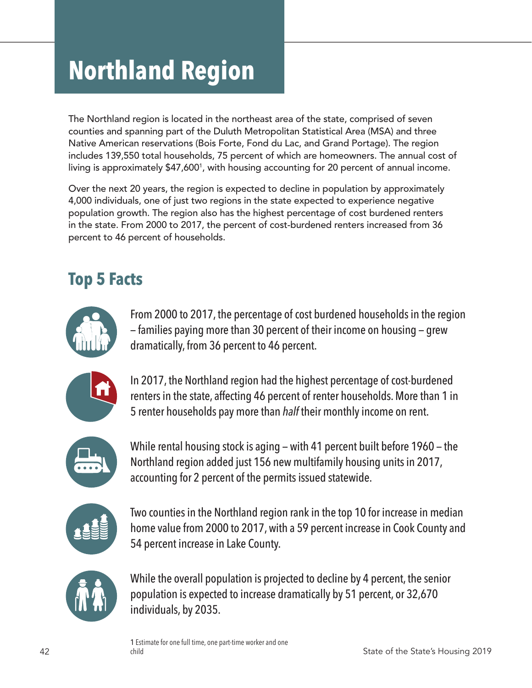# **Northland Region**

The Northland region is located in the northeast area of the state, comprised of seven counties and spanning part of the Duluth Metropolitan Statistical Area (MSA) and three Native American reservations (Bois Forte, Fond du Lac, and Grand Portage). The region includes 139,550 total households, 75 percent of which are homeowners. The annual cost of living is approximately \$47,600<sup>1</sup>, with housing accounting for 20 percent of annual income.

Over the next 20 years, the region is expected to decline in population by approximately 4,000 individuals, one of just two regions in the state expected to experience negative population growth. The region also has the highest percentage of cost burdened renters in the state. From 2000 to 2017, the percent of cost-burdened renters increased from 36 percent to 46 percent of households.

### **Top 5 Facts**



From 2000 to 2017, the percentage of cost burdened households in the region — families paying more than 30 percent of their income on housing — grew dramatically, from 36 percent to 46 percent.



In 2017, the Northland region had the highest percentage of cost-burdened renters in the state, affecting 46 percent of renter households. More than 1 in 5 renter households pay more than *half* their monthly income on rent.



While rental housing stock is aging — with 41 percent built before 1960 — the Northland region added just 156 new multifamily housing units in 2017, accounting for 2 percent of the permits issued statewide.



Two counties in the Northland region rank in the top 10 for increase in median home value from 2000 to 2017, with a 59 percent increase in Cook County and 54 percent increase in Lake County.



While the overall population is projected to decline by 4 percent, the senior population is expected to increase dramatically by 51 percent, or 32,670 individuals, by 2035.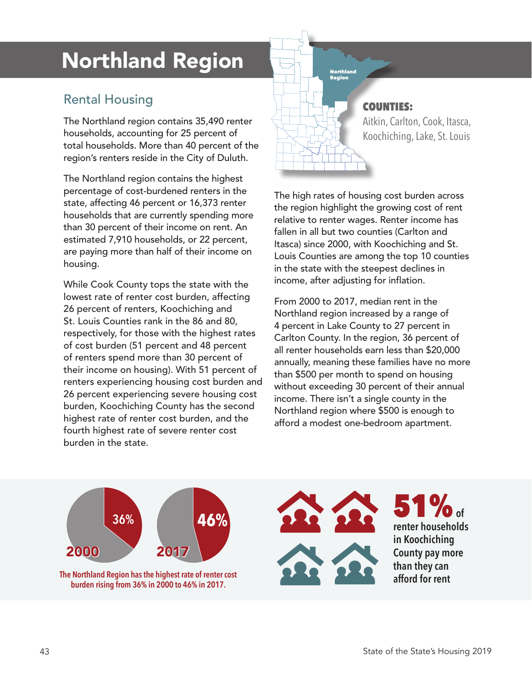## Northland Region

#### Rental Housing

The Northland region contains 35,490 renter households, accounting for 25 percent of total households. More than 40 percent of the region's renters reside in the City of Duluth.

The Northland region contains the highest percentage of cost-burdened renters in the state, affecting 46 percent or 16,373 renter households that are currently spending more than 30 percent of their income on rent. An estimated 7,910 households, or 22 percent, are paying more than half of their income on housing.

While Cook County tops the state with the lowest rate of renter cost burden, affecting 26 percent of renters, Koochiching and St. Louis Counties rank in the 86 and 80, respectively, for those with the highest rates of cost burden (51 percent and 48 percent of renters spend more than 30 percent of their income on housing). With 51 percent of renters experiencing housing cost burden and 26 percent experiencing severe housing cost burden, Koochiching County has the second highest rate of renter cost burden, and the fourth highest rate of severe renter cost burden in the state.

# Region

#### COUNTIES:

Aitkin, Carlton, Cook, Itasca, Koochiching, Lake, St. Louis

The high rates of housing cost burden across the region highlight the growing cost of rent relative to renter wages. Renter income has fallen in all but two counties (Carlton and Itasca) since 2000, with Koochiching and St. Louis Counties are among the top 10 counties in the state with the steepest declines in income, after adjusting for inflation.

From 2000 to 2017, median rent in the Northland region increased by a range of 4 percent in Lake County to 27 percent in Carlton County. In the region, 36 percent of all renter households earn less than \$20,000 annually, meaning these families have no more than \$500 per month to spend on housing without exceeding 30 percent of their annual income. There isn't a single county in the Northland region where \$500 is enough to afford a modest one-bedroom apartment.

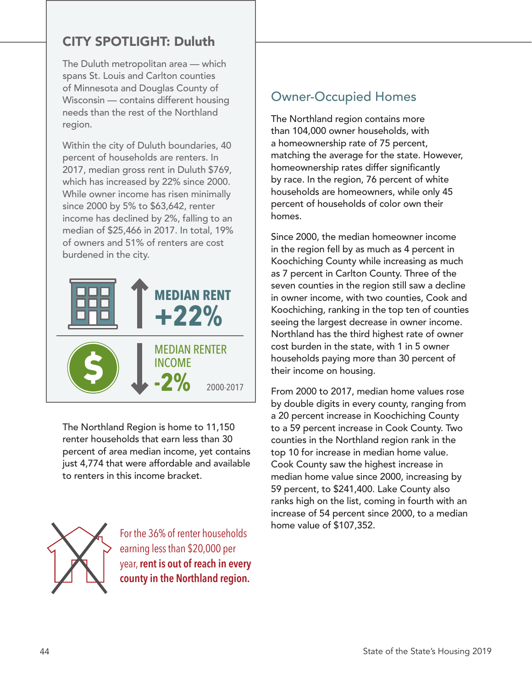#### CITY SPOTLIGHT: Duluth

The Duluth metropolitan area — which spans St. Louis and Carlton counties of Minnesota and Douglas County of Wisconsin — contains different housing needs than the rest of the Northland region.

Within the city of Duluth boundaries, 40 percent of households are renters. In 2017, median gross rent in Duluth \$769, which has increased by 22% since 2000. While owner income has risen minimally since 2000 by 5% to \$63,642, renter income has declined by 2%, falling to an median of \$25,466 in 2017. In total, 19% of owners and 51% of renters are cost burdened in the city.



The Northland Region is home to 11,150 renter households that earn less than 30 percent of area median income, yet contains just 4,774 that were affordable and available to renters in this income bracket.



For the 36% of renter households earning less than \$20,000 per year, **rent is out of reach in every county in the Northland region.**

#### Owner-Occupied Homes

The Northland region contains more than 104,000 owner households, with a homeownership rate of 75 percent, matching the average for the state. However, homeownership rates differ significantly by race. In the region, 76 percent of white households are homeowners, while only 45 percent of households of color own their homes.

Since 2000, the median homeowner income in the region fell by as much as 4 percent in Koochiching County while increasing as much as 7 percent in Carlton County. Three of the seven counties in the region still saw a decline in owner income, with two counties, Cook and Koochiching, ranking in the top ten of counties seeing the largest decrease in owner income. Northland has the third highest rate of owner cost burden in the state, with 1 in 5 owner households paying more than 30 percent of their income on housing.

From 2000 to 2017, median home values rose by double digits in every county, ranging from a 20 percent increase in Koochiching County to a 59 percent increase in Cook County. Two counties in the Northland region rank in the top 10 for increase in median home value. Cook County saw the highest increase in median home value since 2000, increasing by 59 percent, to \$241,400. Lake County also ranks high on the list, coming in fourth with an increase of 54 percent since 2000, to a median home value of \$107,352.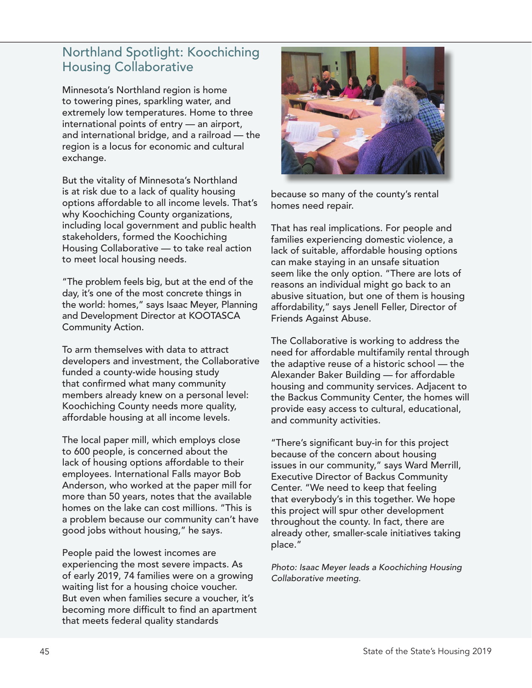#### Northland Spotlight: Koochiching Housing Collaborative

Minnesota's Northland region is home to towering pines, sparkling water, and extremely low temperatures. Home to three international points of entry — an airport, and international bridge, and a railroad — the region is a locus for economic and cultural exchange.

But the vitality of Minnesota's Northland is at risk due to a lack of quality housing options affordable to all income levels. That's why Koochiching County organizations, including local government and public health stakeholders, formed the Koochiching Housing Collaborative — to take real action to meet local housing needs.

"The problem feels big, but at the end of the day, it's one of the most concrete things in the world: homes," says Isaac Meyer, Planning and Development Director at KOOTASCA Community Action.

To arm themselves with data to attract developers and investment, the Collaborative funded a county-wide housing study that confirmed what many community members already knew on a personal level: Koochiching County needs more quality, affordable housing at all income levels.

The local paper mill, which employs close to 600 people, is concerned about the lack of housing options affordable to their employees. International Falls mayor Bob Anderson, who worked at the paper mill for more than 50 years, notes that the available homes on the lake can cost millions. "This is a problem because our community can't have good jobs without housing," he says.

People paid the lowest incomes are experiencing the most severe impacts. As of early 2019, 74 families were on a growing waiting list for a housing choice voucher. But even when families secure a voucher, it's becoming more difficult to find an apartment that meets federal quality standards



because so many of the county's rental homes need repair.

That has real implications. For people and families experiencing domestic violence, a lack of suitable, affordable housing options can make staying in an unsafe situation seem like the only option. "There are lots of reasons an individual might go back to an abusive situation, but one of them is housing affordability," says Jenell Feller, Director of Friends Against Abuse.

The Collaborative is working to address the need for affordable multifamily rental through the adaptive reuse of a historic school — the Alexander Baker Building — for affordable housing and community services. Adjacent to the Backus Community Center, the homes will provide easy access to cultural, educational, and community activities.

"There's significant buy-in for this project because of the concern about housing issues in our community," says Ward Merrill, Executive Director of Backus Community Center. "We need to keep that feeling that everybody's in this together. We hope this project will spur other development throughout the county. In fact, there are already other, smaller-scale initiatives taking place."

*Photo: Isaac Meyer leads a Koochiching Housing Collaborative meeting.*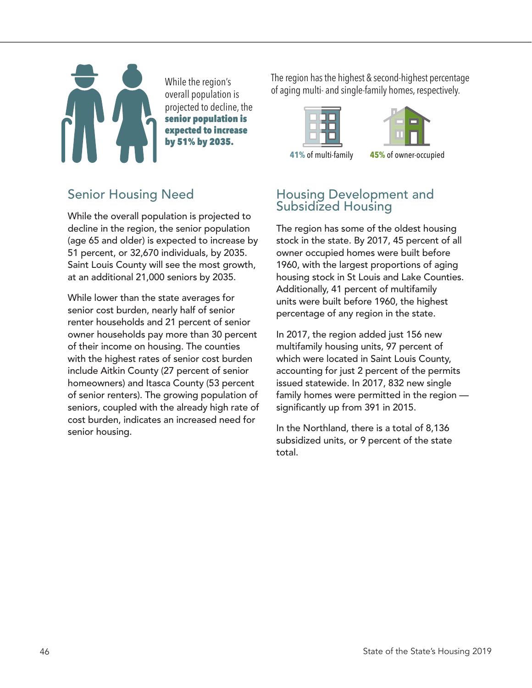overall population is projected to decline, the senior population is expected to increase by 51% by 2035.

The region has the highest & second-highest percentage While the region's<br>of aging multi- and single-family homes, respectively.



#### Senior Housing Need

While the overall population is projected to decline in the region, the senior population (age 65 and older) is expected to increase by 51 percent, or 32,670 individuals, by 2035. Saint Louis County will see the most growth, at an additional 21,000 seniors by 2035.

While lower than the state averages for senior cost burden, nearly half of senior renter households and 21 percent of senior owner households pay more than 30 percent of their income on housing. The counties with the highest rates of senior cost burden include Aitkin County (27 percent of senior homeowners) and Itasca County (53 percent of senior renters). The growing population of seniors, coupled with the already high rate of cost burden, indicates an increased need for senior housing.

#### Housing Development and Subsidized Housing

The region has some of the oldest housing stock in the state. By 2017, 45 percent of all owner occupied homes were built before 1960, with the largest proportions of aging housing stock in St Louis and Lake Counties. Additionally, 41 percent of multifamily units were built before 1960, the highest percentage of any region in the state.

In 2017, the region added just 156 new multifamily housing units, 97 percent of which were located in Saint Louis County, accounting for just 2 percent of the permits issued statewide. In 2017, 832 new single family homes were permitted in the region significantly up from 391 in 2015.

In the Northland, there is a total of 8,136 subsidized units, or 9 percent of the state total.